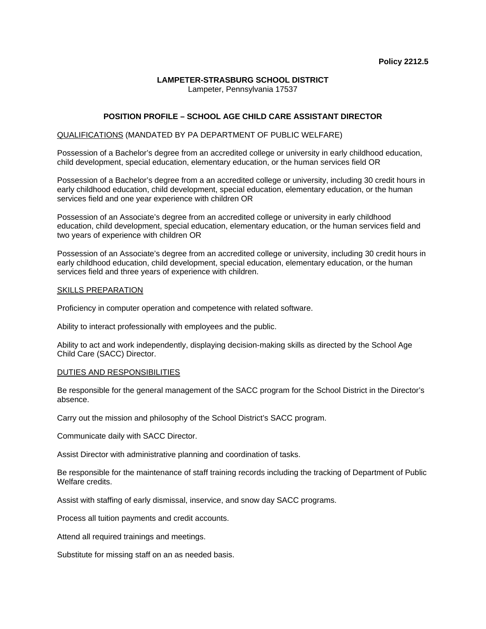# **LAMPETER-STRASBURG SCHOOL DISTRICT**

Lampeter, Pennsylvania 17537

## **POSITION PROFILE – SCHOOL AGE CHILD CARE ASSISTANT DIRECTOR**

### QUALIFICATIONS (MANDATED BY PA DEPARTMENT OF PUBLIC WELFARE)

Possession of a Bachelor's degree from an accredited college or university in early childhood education, child development, special education, elementary education, or the human services field OR

Possession of a Bachelor's degree from a an accredited college or university, including 30 credit hours in early childhood education, child development, special education, elementary education, or the human services field and one year experience with children OR

Possession of an Associate's degree from an accredited college or university in early childhood education, child development, special education, elementary education, or the human services field and two years of experience with children OR

Possession of an Associate's degree from an accredited college or university, including 30 credit hours in early childhood education, child development, special education, elementary education, or the human services field and three years of experience with children.

#### SKILLS PREPARATION

Proficiency in computer operation and competence with related software.

Ability to interact professionally with employees and the public.

Ability to act and work independently, displaying decision-making skills as directed by the School Age Child Care (SACC) Director.

#### DUTIES AND RESPONSIBILITIES

Be responsible for the general management of the SACC program for the School District in the Director's absence.

Carry out the mission and philosophy of the School District's SACC program.

Communicate daily with SACC Director.

Assist Director with administrative planning and coordination of tasks.

Be responsible for the maintenance of staff training records including the tracking of Department of Public Welfare credits.

Assist with staffing of early dismissal, inservice, and snow day SACC programs.

Process all tuition payments and credit accounts.

Attend all required trainings and meetings.

Substitute for missing staff on an as needed basis.